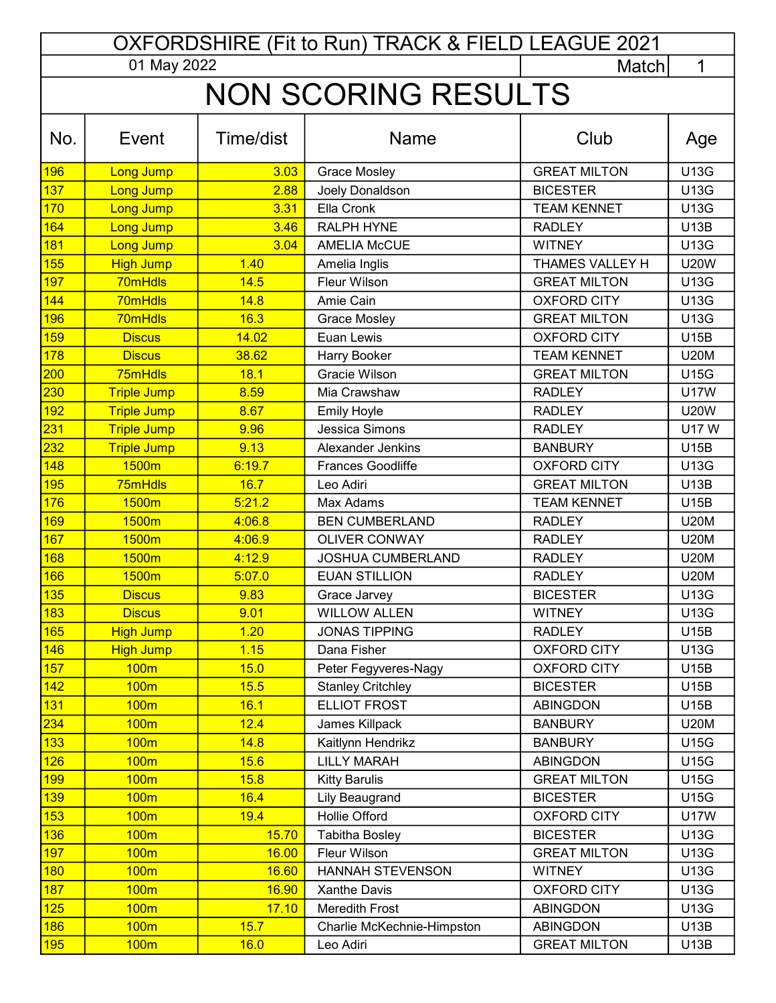| OXFORDSHIRE (Fit to Run) TRACK & FIELD LEAGUE 2021 |                           |           |                            |                     |             |  |  |  |  |
|----------------------------------------------------|---------------------------|-----------|----------------------------|---------------------|-------------|--|--|--|--|
|                                                    | 01 May 2022<br>1<br>Match |           |                            |                     |             |  |  |  |  |
| <b>NON SCORING RESULTS</b>                         |                           |           |                            |                     |             |  |  |  |  |
|                                                    |                           |           |                            |                     |             |  |  |  |  |
| No.                                                | Event                     | Time/dist | <b>Name</b>                | Club                | Age         |  |  |  |  |
| 196                                                | Long Jump                 | 3.03      | <b>Grace Mosley</b>        | <b>GREAT MILTON</b> | <b>U13G</b> |  |  |  |  |
| 137                                                | <b>Long Jump</b>          | 2.88      | Joely Donaldson            | <b>BICESTER</b>     | <b>U13G</b> |  |  |  |  |
| 170                                                | <b>Long Jump</b>          | 3.31      | Ella Cronk                 | <b>TEAM KENNET</b>  | <b>U13G</b> |  |  |  |  |
| 164                                                | <b>Long Jump</b>          | 3.46      | RALPH HYNE                 | <b>RADLEY</b>       | <b>U13B</b> |  |  |  |  |
| 181                                                | <b>Long Jump</b>          | 3.04      | <b>AMELIA McCUE</b>        | <b>WITNEY</b>       | U13G        |  |  |  |  |
| 155                                                | <b>High Jump</b>          | 1.40      | Amelia Inglis              | THAMES VALLEY H     | <b>U20W</b> |  |  |  |  |
| 197                                                | 70mHdls                   | 14.5      | Fleur Wilson               | <b>GREAT MILTON</b> | <b>U13G</b> |  |  |  |  |
| 144                                                | 70mHdls                   | 14.8      | Amie Cain                  | <b>OXFORD CITY</b>  | U13G        |  |  |  |  |
| 196                                                | 70mHdls                   | 16.3      | <b>Grace Mosley</b>        | <b>GREAT MILTON</b> | <b>U13G</b> |  |  |  |  |
| 159                                                | <b>Discus</b>             | 14.02     | Euan Lewis                 | <b>OXFORD CITY</b>  | <b>U15B</b> |  |  |  |  |
| 178                                                | <b>Discus</b>             | 38.62     | Harry Booker               | <b>TEAM KENNET</b>  | <b>U20M</b> |  |  |  |  |
| 200                                                | 75mHdls                   | 18.1      | Gracie Wilson              | <b>GREAT MILTON</b> | <b>U15G</b> |  |  |  |  |
| 230                                                | <b>Triple Jump</b>        | 8.59      | Mia Crawshaw               | <b>RADLEY</b>       | <b>U17W</b> |  |  |  |  |
| 192                                                | <b>Triple Jump</b>        | 8.67      | <b>Emily Hoyle</b>         | <b>RADLEY</b>       | <b>U20W</b> |  |  |  |  |
| 231                                                | <b>Triple Jump</b>        | 9.96      | Jessica Simons             | <b>RADLEY</b>       | <b>U17W</b> |  |  |  |  |
| 232                                                | <b>Triple Jump</b>        | 9.13      | Alexander Jenkins          | <b>BANBURY</b>      | <b>U15B</b> |  |  |  |  |
| 148                                                | 1500m                     | 6:19.7    | <b>Frances Goodliffe</b>   | <b>OXFORD CITY</b>  | <b>U13G</b> |  |  |  |  |
| 195                                                | 75mHdls                   | 16.7      | Leo Adiri                  | <b>GREAT MILTON</b> | <b>U13B</b> |  |  |  |  |
| 176                                                | 1500m                     | 5:21.2    | Max Adams                  | <b>TEAM KENNET</b>  | <b>U15B</b> |  |  |  |  |
| 169                                                | 1500m                     | 4:06.8    | <b>BEN CUMBERLAND</b>      | <b>RADLEY</b>       | <b>U20M</b> |  |  |  |  |
| 167                                                | 1500m                     | 4:06.9    | <b>OLIVER CONWAY</b>       | <b>RADLEY</b>       | <b>U20M</b> |  |  |  |  |
| 168                                                | 1500m                     | 4:12.9    | JOSHUA CUMBERLAND          | <b>RADLEY</b>       | <b>U20M</b> |  |  |  |  |
| 166                                                | 1500m                     | 5:07.0    | <b>EUAN STILLION</b>       | <b>RADLEY</b>       | <b>U20M</b> |  |  |  |  |
| 135                                                | <b>Discus</b>             | 9.83      | Grace Jarvey               | <b>BICESTER</b>     | U13G        |  |  |  |  |
| 183                                                | <b>Discus</b>             | 9.01      | <b>WILLOW ALLEN</b>        | <b>WITNEY</b>       | <b>U13G</b> |  |  |  |  |
| 165                                                | <b>High Jump</b>          | 1.20      | <b>JONAS TIPPING</b>       | <b>RADLEY</b>       | <b>U15B</b> |  |  |  |  |
| 146                                                | <b>High Jump</b>          | 1.15      | Dana Fisher                | <b>OXFORD CITY</b>  | <b>U13G</b> |  |  |  |  |
| 157                                                | 100 <sub>m</sub>          | 15.0      | Peter Fegyveres-Nagy       | <b>OXFORD CITY</b>  | <b>U15B</b> |  |  |  |  |
| 142                                                | 100m                      | 15.5      | <b>Stanley Critchley</b>   | <b>BICESTER</b>     | <b>U15B</b> |  |  |  |  |
| 131                                                | 100m                      | 16.1      | <b>ELLIOT FROST</b>        | <b>ABINGDON</b>     | <b>U15B</b> |  |  |  |  |
| 234                                                | 100m                      | 12.4      | James Killpack             | <b>BANBURY</b>      | <b>U20M</b> |  |  |  |  |
| 133                                                | 100m                      | 14.8      | Kaitlynn Hendrikz          | <b>BANBURY</b>      | <b>U15G</b> |  |  |  |  |
| 126                                                | 100m                      | 15.6      | <b>LILLY MARAH</b>         | <b>ABINGDON</b>     | <b>U15G</b> |  |  |  |  |
| 199                                                | 100m                      | 15.8      | <b>Kitty Barulis</b>       | <b>GREAT MILTON</b> | <b>U15G</b> |  |  |  |  |
| 139                                                | 100m                      | 16.4      | <b>Lily Beaugrand</b>      | <b>BICESTER</b>     | <b>U15G</b> |  |  |  |  |
| 153                                                | 100m                      | 19.4      | Hollie Offord              | <b>OXFORD CITY</b>  | <b>U17W</b> |  |  |  |  |
| 136                                                | 100m                      | 15.70     | <b>Tabitha Bosley</b>      | <b>BICESTER</b>     | <b>U13G</b> |  |  |  |  |
| 197                                                | 100m                      | 16.00     | Fleur Wilson               | <b>GREAT MILTON</b> | U13G        |  |  |  |  |
| 180                                                | 100m                      | 16.60     | <b>HANNAH STEVENSON</b>    | <b>WITNEY</b>       | <b>U13G</b> |  |  |  |  |
| 187                                                | 100m                      | 16.90     | Xanthe Davis               | <b>OXFORD CITY</b>  | U13G        |  |  |  |  |
| 125                                                | 100m                      | 17.10     | <b>Meredith Frost</b>      | <b>ABINGDON</b>     | U13G        |  |  |  |  |
| 186                                                | 100m                      | 15.7      | Charlie McKechnie-Himpston | <b>ABINGDON</b>     | <b>U13B</b> |  |  |  |  |
| <mark>195</mark>                                   | 100 <sub>m</sub>          | 16.0      | Leo Adiri                  | <b>GREAT MILTON</b> | <b>U13B</b> |  |  |  |  |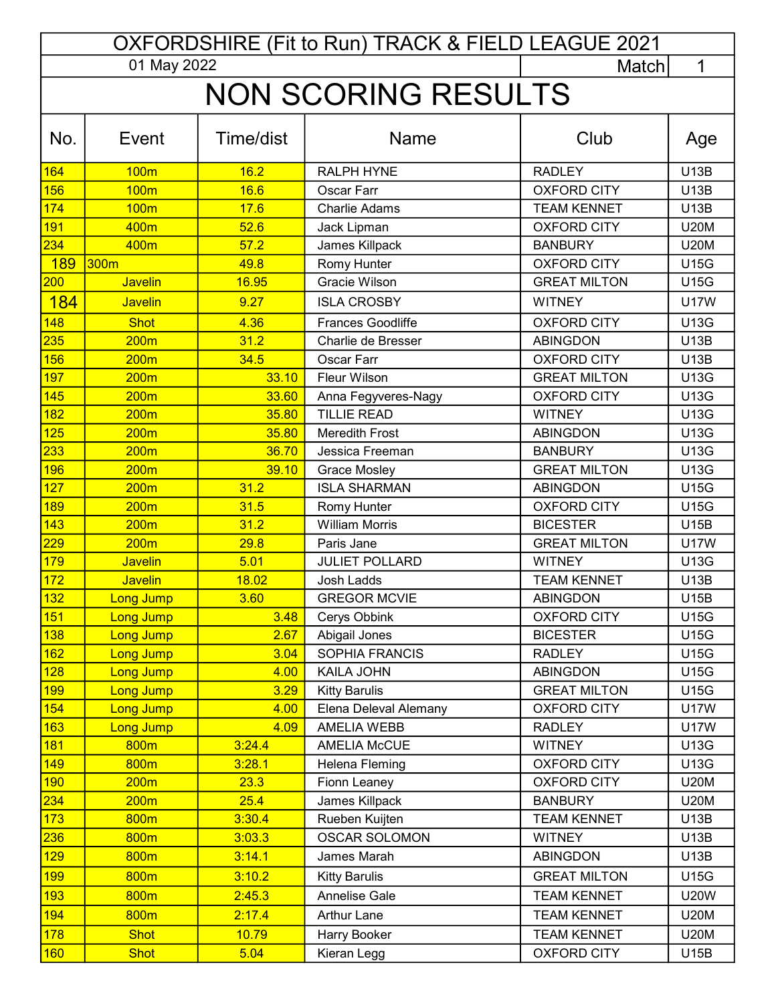| OXFORDSHIRE (Fit to Run) TRACK & FIELD LEAGUE 2021 |                   |                |                                             |                                |                            |  |  |  |
|----------------------------------------------------|-------------------|----------------|---------------------------------------------|--------------------------------|----------------------------|--|--|--|
|                                                    | 01 May 2022       |                |                                             | Match                          | 1                          |  |  |  |
| <b>NON SCORING RESULTS</b>                         |                   |                |                                             |                                |                            |  |  |  |
|                                                    |                   |                |                                             |                                |                            |  |  |  |
| No.                                                | Event             | Time/dist      | <b>Name</b>                                 | Club                           | Age                        |  |  |  |
| 164                                                | <b>100m</b>       | 16.2           | <b>RALPH HYNE</b>                           | <b>RADLEY</b>                  | <b>U13B</b>                |  |  |  |
| 156                                                | <b>100m</b>       | 16.6           | Oscar Farr                                  | <b>OXFORD CITY</b>             | <b>U13B</b>                |  |  |  |
| 174                                                | <b>100m</b>       | 17.6           | <b>Charlie Adams</b>                        | <b>TEAM KENNET</b>             | <b>U13B</b>                |  |  |  |
| 191                                                | 400m              | 52.6           | Jack Lipman                                 | <b>OXFORD CITY</b>             | <b>U20M</b>                |  |  |  |
| 234                                                | 400m              | 57.2           | James Killpack                              | <b>BANBURY</b>                 | <b>U20M</b>                |  |  |  |
| <b>189</b>                                         | 300m              | 49.8           | Romy Hunter                                 | <b>OXFORD CITY</b>             | <b>U15G</b>                |  |  |  |
| 200                                                | <b>Javelin</b>    | 16.95          | Gracie Wilson                               | <b>GREAT MILTON</b>            | <b>U15G</b>                |  |  |  |
| <b>184</b>                                         | <b>Javelin</b>    | 9.27           | <b>ISLA CROSBY</b>                          | <b>WITNEY</b>                  | <b>U17W</b>                |  |  |  |
| 148                                                | <b>Shot</b>       | 4.36           | Frances Goodliffe                           | <b>OXFORD CITY</b>             | <b>U13G</b>                |  |  |  |
| 235                                                | 200 <sub>m</sub>  | 31.2           | Charlie de Bresser                          | <b>ABINGDON</b>                | <b>U13B</b>                |  |  |  |
| 156                                                | 200 <sub>m</sub>  | 34.5           | Oscar Farr                                  | <b>OXFORD CITY</b>             | <b>U13B</b>                |  |  |  |
| 197                                                | 200 <sub>m</sub>  | 33.10          | Fleur Wilson                                | <b>GREAT MILTON</b>            | <b>U13G</b>                |  |  |  |
| 145                                                | 200 <sub>m</sub>  | 33.60          | Anna Fegyveres-Nagy                         | <b>OXFORD CITY</b>             | <b>U13G</b>                |  |  |  |
| 182                                                | 200m              | 35.80          | <b>TILLIE READ</b>                          | <b>WITNEY</b>                  | <b>U13G</b>                |  |  |  |
| 125                                                | 200 <sub>m</sub>  | 35.80          | <b>Meredith Frost</b>                       | <b>ABINGDON</b>                | <b>U13G</b>                |  |  |  |
| 233                                                | 200 <sub>m</sub>  | 36.70          | Jessica Freeman                             | <b>BANBURY</b>                 | <b>U13G</b>                |  |  |  |
| 196                                                | 200 <sub>m</sub>  | 39.10          | <b>Grace Mosley</b>                         | <b>GREAT MILTON</b>            | <b>U13G</b>                |  |  |  |
| 127                                                | 200 <sub>m</sub>  | 31.2           | <b>ISLA SHARMAN</b>                         | <b>ABINGDON</b>                | <b>U15G</b>                |  |  |  |
| 189                                                | 200 <sub>m</sub>  | 31.5           | Romy Hunter                                 | <b>OXFORD CITY</b>             | <b>U15G</b>                |  |  |  |
| 143                                                | 200 <sub>m</sub>  | 31.2           | <b>William Morris</b>                       | <b>BICESTER</b>                | <b>U15B</b>                |  |  |  |
| 229                                                | 200m              | 29.8           | Paris Jane                                  | <b>GREAT MILTON</b>            | <b>U17W</b>                |  |  |  |
| 179                                                | <b>Javelin</b>    | 5.01           | <b>JULIET POLLARD</b>                       | <b>WITNEY</b>                  | <b>U13G</b>                |  |  |  |
| 172                                                | <b>Javelin</b>    | 18.02          | Josh Ladds                                  | <b>TEAM KENNET</b>             | <b>U13B</b>                |  |  |  |
| 132                                                | <b>Long Jump</b>  | 3.60           | <b>GREGOR MCVIE</b>                         | ABINGDON                       | <b>U15B</b>                |  |  |  |
| 151                                                | <b>Long Jump</b>  | 3.48           | Cerys Obbink                                | <b>OXFORD CITY</b>             | <b>U15G</b>                |  |  |  |
| 138                                                | Long Jump         | 2.67           | Abigail Jones                               | <b>BICESTER</b>                | <b>U15G</b>                |  |  |  |
| 162                                                | <b>Long Jump</b>  | 3.04           | SOPHIA FRANCIS                              | <b>RADLEY</b>                  | U15G                       |  |  |  |
| 128                                                | Long Jump         | 4.00           | KAILA JOHN                                  | <b>ABINGDON</b>                | U15G                       |  |  |  |
| <b>199</b>                                         | Long Jump         | 3.29           | <b>Kitty Barulis</b>                        | <b>GREAT MILTON</b>            | <b>U15G</b>                |  |  |  |
| 154                                                | <b>Long Jump</b>  | 4.00           | Elena Deleval Alemany<br><b>AMELIA WEBB</b> | <b>OXFORD CITY</b>             | <b>U17W</b><br><b>U17W</b> |  |  |  |
| 163<br>181                                         | Long Jump<br>800m | 4.09<br>3:24.4 | <b>AMELIA McCUE</b>                         | <b>RADLEY</b><br><b>WITNEY</b> | U13G                       |  |  |  |
| 149                                                | 800m              | 3:28.1         | Helena Fleming                              | <b>OXFORD CITY</b>             | U13G                       |  |  |  |
| 190                                                | 200 <sub>m</sub>  | 23.3           | Fionn Leaney                                | <b>OXFORD CITY</b>             | <b>U20M</b>                |  |  |  |
| 234                                                | 200m              | 25.4           | James Killpack                              | <b>BANBURY</b>                 | <b>U20M</b>                |  |  |  |
| 173                                                | 800m              | 3:30.4         | Rueben Kuijten                              | <b>TEAM KENNET</b>             | U13B                       |  |  |  |
| 236                                                | 800m              | 3:03.3         | <b>OSCAR SOLOMON</b>                        | <b>WITNEY</b>                  | U13B                       |  |  |  |
| 129                                                | 800m              | 3:14.1         | James Marah                                 | <b>ABINGDON</b>                | <b>U13B</b>                |  |  |  |
| 199                                                | 800m              | 3:10.2         | <b>Kitty Barulis</b>                        | <b>GREAT MILTON</b>            | <b>U15G</b>                |  |  |  |
| 193                                                | 800m              | 2:45.3         | Annelise Gale                               | <b>TEAM KENNET</b>             | <b>U20W</b>                |  |  |  |
| 194                                                | 800m              | 2:17.4         | <b>Arthur Lane</b>                          | <b>TEAM KENNET</b>             | <b>U20M</b>                |  |  |  |
| 178                                                | <b>Shot</b>       | 10.79          | Harry Booker                                | <b>TEAM KENNET</b>             | <b>U20M</b>                |  |  |  |
| 160                                                | <b>Shot</b>       | 5.04           | Kieran Legg                                 | <b>OXFORD CITY</b>             | U15B                       |  |  |  |